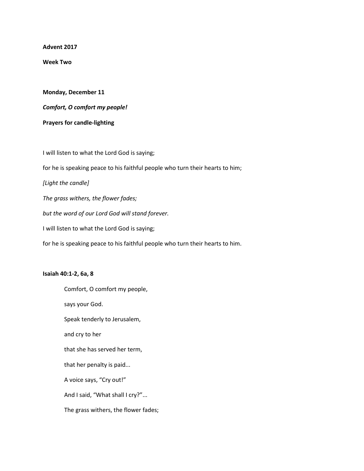**Advent 2017**

**Week Two**

**Monday, December 11**

*Comfort, O comfort my people!*

**Prayers for candle-lighting**

I will listen to what the Lord God is saying; for he is speaking peace to his faithful people who turn their hearts to him; *[Light the candle] The grass withers, the flower fades; but the word of our Lord God will stand forever.* I will listen to what the Lord God is saying;

for he is speaking peace to his faithful people who turn their hearts to him.

## **Isaiah 40:1-2, 6a, 8**

Comfort, O comfort my people, says your God. Speak tenderly to Jerusalem, and cry to her that she has served her term, that her penalty is paid... A voice says, "Cry out!" And I said, "What shall I cry?"... The grass withers, the flower fades;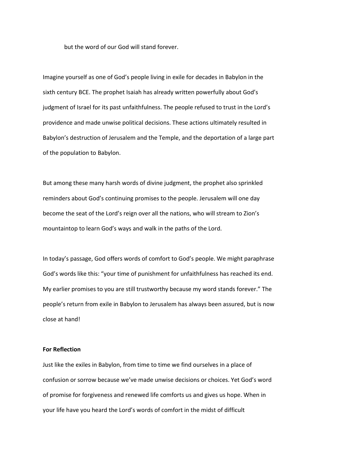but the word of our God will stand forever.

Imagine yourself as one of God's people living in exile for decades in Babylon in the sixth century BCE. The prophet Isaiah has already written powerfully about God's judgment of Israel for its past unfaithfulness. The people refused to trust in the Lord's providence and made unwise political decisions. These actions ultimately resulted in Babylon's destruction of Jerusalem and the Temple, and the deportation of a large part of the population to Babylon.

But among these many harsh words of divine judgment, the prophet also sprinkled reminders about God's continuing promises to the people. Jerusalem will one day become the seat of the Lord's reign over all the nations, who will stream to Zion's mountaintop to learn God's ways and walk in the paths of the Lord.

In today's passage, God offers words of comfort to God's people. We might paraphrase God's words like this: "your time of punishment for unfaithfulness has reached its end. My earlier promises to you are still trustworthy because my word stands forever." The people's return from exile in Babylon to Jerusalem has always been assured, but is now close at hand!

## **For Reflection**

Just like the exiles in Babylon, from time to time we find ourselves in a place of confusion or sorrow because we've made unwise decisions or choices. Yet God's word of promise for forgiveness and renewed life comforts us and gives us hope. When in your life have you heard the Lord's words of comfort in the midst of difficult